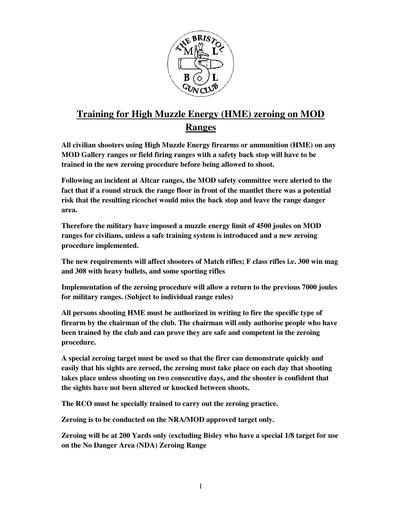

## **Training for High Muzzle Energy (HME) zeroing on MOD Ranges**

**All civilian shooters using High Muzzle Energy firearms or ammunition (HME) on any MOD Gallery ranges or field firing ranges with a safety back stop will have to be trained in the new zeroing procedure before being allowed to shoot.** 

**Following an incident at Altcar ranges, the MOD safety committee were alerted to the fact that if a round struck the range floor in front of the mantlet there was a potential risk that the resulting ricochet would miss the back stop and leave the range danger area.** 

**Therefore the military have imposed a muzzle energy limit of 4500 joules on MOD ranges for civilians, unless a safe training system is introduced and a new zeroing procedure implemented.** 

**The new requirements will affect shooters of Match rifles; F class rifles i.e. 300 win mag and 308 with heavy bullets, and some sporting rifles** 

**Implementation of the zeroing procedure will allow a return to the previous 7000 joules for military ranges. (Subject to individual range rules)** 

**All persons shooting HME must be authorized in writing to fire the specific type of firearm by the chairman of the club. The chairman will only authorise people who have been trained by the club and can prove they are safe and competent in the zeroing procedure.** 

**A special zeroing target must be used so that the firer can demonstrate quickly and easily that his sights are zeroed, the zeroing must take place on each day that shooting takes place unless shooting on two consecutive days, and the shooter is confident that the sights have not been altered or knocked between shoots.**

**The RCO must be specially trained to carry out the zeroing practice.** 

**Zeroing is to be conducted on the NRA/MOD approved target only.** 

**Zeroing will be at 200 Yards only (excluding Bisley who have a special 1/8 target for use on the No Danger Area (NDA) Zeroing Range**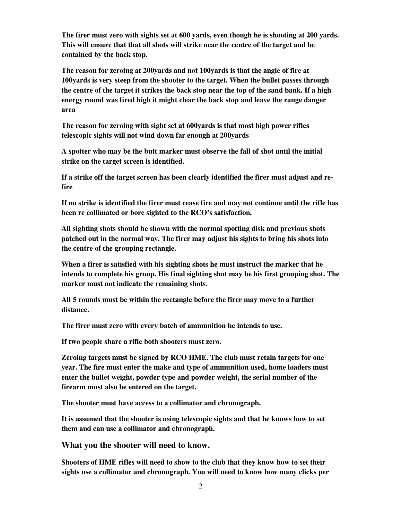**The firer must zero with sights set at 600 yards, even though he is shooting at 200 yards. This will ensure that that all shots will strike near the centre of the target and be contained by the back stop.** 

**The reason for zeroing at 200yards and not 100yards is that the angle of fire at 100yards is very steep from the shooter to the target. When the bullet passes through the centre of the target it strikes the back stop near the top of the sand bank. If a high energy round was fired high it might clear the back stop and leave the range danger area** 

**The reason for zeroing with sight set at 600yards is that most high power rifles telescopic sights will not wind down far enough at 200yards** 

**A spotter who may be the butt marker must observe the fall of shot until the initial strike on the target screen is identified.** 

**If a strike off the target screen has been clearly identified the firer must adjust and refire** 

**If no strike is identified the firer must cease fire and may not continue until the rifle has been re collimated or bore sighted to the RCO's satisfaction.** 

**All sighting shots should be shown with the normal spotting disk and previous shots patched out in the normal way. The firer may adjust his sights to bring his shots into the centre of the grouping rectangle.** 

**When a firer is satisfied with his sighting shots he must instruct the marker that he intends to complete his group. His final sighting shot may be his first grouping shot. The marker must not indicate the remaining shots.** 

**All 5 rounds must be within the rectangle before the firer may move to a further distance.** 

**The firer must zero with every batch of ammunition he intends to use.** 

**If two people share a rifle both shooters must zero.** 

**Zeroing targets must be signed by RCO HME. The club must retain targets for one year. The fire must enter the make and type of ammunition used, home loaders must enter the bullet weight, powder type and powder weight, the serial number of the firearm must also be entered on the target.** 

**The shooter must have access to a collimator and chronograph.** 

**It is assumed that the shooter is using telescopic sights and that he knows how to set them and can use a collimator and chronograph.** 

**What you the shooter will need to know.** 

**Shooters of HME rifles will need to show to the club that they know how to set their sights use a collimator and chronograph. You will need to know how many clicks per**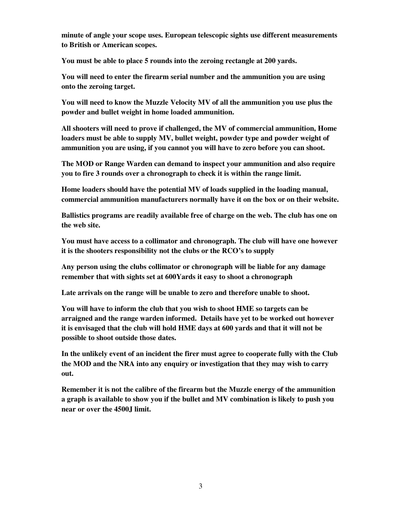**minute of angle your scope uses. European telescopic sights use different measurements to British or American scopes.** 

**You must be able to place 5 rounds into the zeroing rectangle at 200 yards.** 

**You will need to enter the firearm serial number and the ammunition you are using onto the zeroing target.** 

**You will need to know the Muzzle Velocity MV of all the ammunition you use plus the powder and bullet weight in home loaded ammunition.** 

**All shooters will need to prove if challenged, the MV of commercial ammunition, Home loaders must be able to supply MV, bullet weight, powder type and powder weight of ammunition you are using, if you cannot you will have to zero before you can shoot.** 

**The MOD or Range Warden can demand to inspect your ammunition and also require you to fire 3 rounds over a chronograph to check it is within the range limit.** 

**Home loaders should have the potential MV of loads supplied in the loading manual, commercial ammunition manufacturers normally have it on the box or on their website.** 

**Ballistics programs are readily available free of charge on the web. The club has one on the web site.** 

**You must have access to a collimator and chronograph. The club will have one however it is the shooters responsibility not the clubs or the RCO's to supply** 

**Any person using the clubs collimator or chronograph will be liable for any damage remember that with sights set at 600Yards it easy to shoot a chronograph** 

**Late arrivals on the range will be unable to zero and therefore unable to shoot.** 

**You will have to inform the club that you wish to shoot HME so targets can be arraigned and the range warden informed. Details have yet to be worked out however it is envisaged that the club will hold HME days at 600 yards and that it will not be possible to shoot outside those dates.** 

**In the unlikely event of an incident the firer must agree to cooperate fully with the Club the MOD and the NRA into any enquiry or investigation that they may wish to carry out.** 

**Remember it is not the calibre of the firearm but the Muzzle energy of the ammunition a graph is available to show you if the bullet and MV combination is likely to push you near or over the 4500J limit.**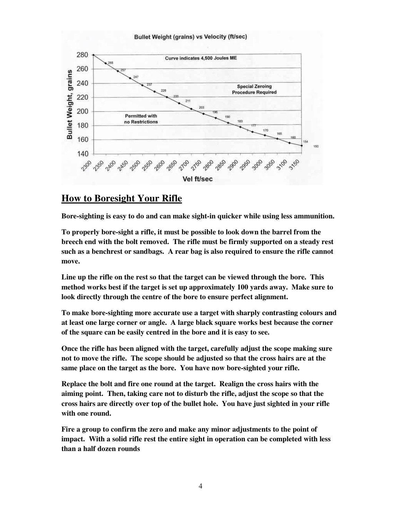#### Bullet Weight (grains) vs Velocity (ft/sec)



#### **How to Boresight Your Rifle**

**Bore-sighting is easy to do and can make sight-in quicker while using less ammunition.** 

**To properly bore-sight a rifle, it must be possible to look down the barrel from the breech end with the bolt removed. The rifle must be firmly supported on a steady rest such as a benchrest or sandbags. A rear bag is also required to ensure the rifle cannot move.** 

**Line up the rifle on the rest so that the target can be viewed through the bore. This method works best if the target is set up approximately 100 yards away. Make sure to look directly through the centre of the bore to ensure perfect alignment.** 

**To make bore-sighting more accurate use a target with sharply contrasting colours and at least one large corner or angle. A large black square works best because the corner of the square can be easily centred in the bore and it is easy to see.** 

**Once the rifle has been aligned with the target, carefully adjust the scope making sure not to move the rifle. The scope should be adjusted so that the cross hairs are at the same place on the target as the bore. You have now bore-sighted your rifle.** 

**Replace the bolt and fire one round at the target. Realign the cross hairs with the aiming point. Then, taking care not to disturb the rifle, adjust the scope so that the cross hairs are directly over top of the bullet hole. You have just sighted in your rifle with one round.** 

**Fire a group to confirm the zero and make any minor adjustments to the point of impact. With a solid rifle rest the entire sight in operation can be completed with less than a half dozen rounds**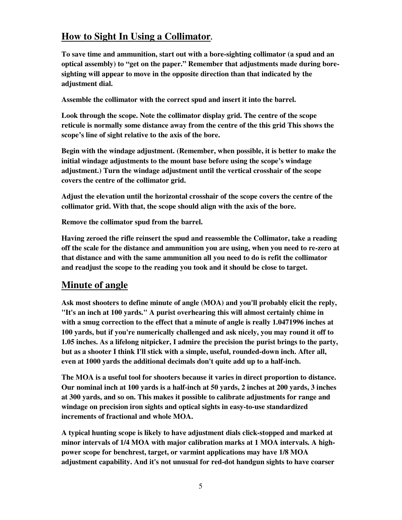### **How to Sight In Using a Collimator.**

**To save time and ammunition, start out with a bore-sighting collimator (a spud and an optical assembly) to "get on the paper." Remember that adjustments made during boresighting will appear to move in the opposite direction than that indicated by the adjustment dial.** 

**Assemble the collimator with the correct spud and insert it into the barrel.** 

**Look through the scope. Note the collimator display grid. The centre of the scope reticule is normally some distance away from the centre of the this grid This shows the scope's line of sight relative to the axis of the bore.** 

**Begin with the windage adjustment. (Remember, when possible, it is better to make the initial windage adjustments to the mount base before using the scope's windage adjustment.) Turn the windage adjustment until the vertical crosshair of the scope covers the centre of the collimator grid.** 

**Adjust the elevation until the horizontal crosshair of the scope covers the centre of the collimator grid. With that, the scope should align with the axis of the bore.** 

**Remove the collimator spud from the barrel.** 

**Having zeroed the rifle reinsert the spud and reassemble the Collimator, take a reading off the scale for the distance and ammunition you are using, when you need to re-zero at that distance and with the same ammunition all you need to do is refit the collimator and readjust the scope to the reading you took and it should be close to target.** 

#### **Minute of angle**

**Ask most shooters to define minute of angle (MOA) and you'll probably elicit the reply, "It's an inch at 100 yards." A purist overhearing this will almost certainly chime in with a smug correction to the effect that a minute of angle is really 1.0471996 inches at 100 yards, but if you're numerically challenged and ask nicely, you may round it off to 1.05 inches. As a lifelong nitpicker, I admire the precision the purist brings to the party, but as a shooter I think I'll stick with a simple, useful, rounded-down inch. After all, even at 1000 yards the additional decimals don't quite add up to a half-inch.** 

**The MOA is a useful tool for shooters because it varies in direct proportion to distance. Our nominal inch at 100 yards is a half-inch at 50 yards, 2 inches at 200 yards, 3 inches at 300 yards, and so on. This makes it possible to calibrate adjustments for range and windage on precision iron sights and optical sights in easy-to-use standardized increments of fractional and whole MOA.** 

**A typical hunting scope is likely to have adjustment dials click-stopped and marked at minor intervals of 1/4 MOA with major calibration marks at 1 MOA intervals. A highpower scope for benchrest, target, or varmint applications may have 1/8 MOA adjustment capability. And it's not unusual for red-dot handgun sights to have coarser**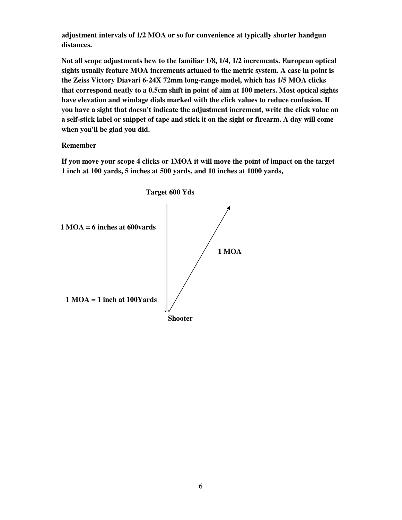**adjustment intervals of 1/2 MOA or so for convenience at typically shorter handgun distances.** 

**Not all scope adjustments hew to the familiar 1/8, 1/4, 1/2 increments. European optical sights usually feature MOA increments attuned to the metric system. A case in point is the Zeiss Victory Diavari 6-24X 72mm long-range model, which has 1/5 MOA clicks that correspond neatly to a 0.5cm shift in point of aim at 100 meters. Most optical sights have elevation and windage dials marked with the click values to reduce confusion. If you have a sight that doesn't indicate the adjustment increment, write the click value on a self-stick label or snippet of tape and stick it on the sight or firearm. A day will come when you'll be glad you did.** 

#### **Remember**

**If you move your scope 4 clicks or 1MOA it will move the point of impact on the target 1 inch at 100 yards, 5 inches at 500 yards, and 10 inches at 1000 yards,**